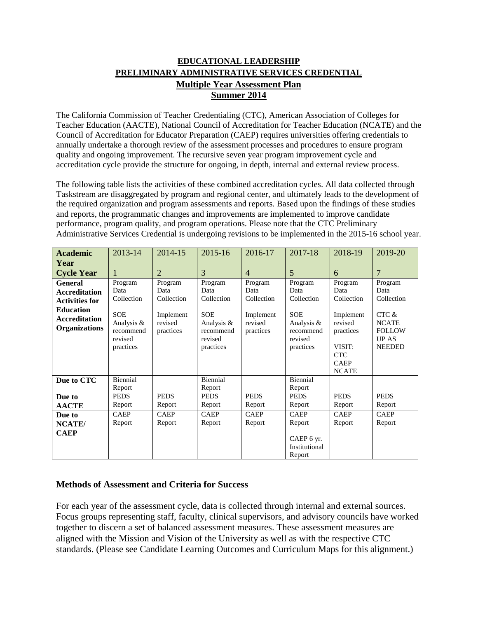## **EDUCATIONAL LEADERSHIP PRELIMINARY ADMINISTRATIVE SERVICES CREDENTIAL Multiple Year Assessment Plan Summer 2014**

The California Commission of Teacher Credentialing (CTC), American Association of Colleges for Teacher Education (AACTE), National Council of Accreditation for Teacher Education (NCATE) and the Council of Accreditation for Educator Preparation (CAEP) requires universities offering credentials to annually undertake a thorough review of the assessment processes and procedures to ensure program quality and ongoing improvement. The recursive seven year program improvement cycle and accreditation cycle provide the structure for ongoing, in depth, internal and external review process.

The following table lists the activities of these combined accreditation cycles. All data collected through Taskstream are disaggregated by program and regional center, and ultimately leads to the development of the required organization and program assessments and reports. Based upon the findings of these studies and reports, the programmatic changes and improvements are implemented to improve candidate performance, program quality, and program operations. Please note that the CTC Preliminary Administrative Services Credential is undergoing revisions to be implemented in the 2015-16 school year.

| <b>Academic</b><br>Year                                                                                                             | 2013-14                                                                                        | 2014-15                                                            | 2015-16                                                                                        | 2016-17                                                            | 2017-18                                                                                        | 2018-19                                                                                                                   | 2019-20                                                                                                 |
|-------------------------------------------------------------------------------------------------------------------------------------|------------------------------------------------------------------------------------------------|--------------------------------------------------------------------|------------------------------------------------------------------------------------------------|--------------------------------------------------------------------|------------------------------------------------------------------------------------------------|---------------------------------------------------------------------------------------------------------------------------|---------------------------------------------------------------------------------------------------------|
| <b>Cycle Year</b>                                                                                                                   | 1                                                                                              | $\overline{2}$                                                     | 3                                                                                              | $\overline{4}$                                                     | $\overline{5}$                                                                                 | 6                                                                                                                         | $\overline{7}$                                                                                          |
| <b>General</b><br><b>Accreditation</b><br><b>Activities for</b><br><b>Education</b><br><b>Accreditation</b><br><b>Organizations</b> | Program<br>Data<br>Collection<br><b>SOE</b><br>Analysis &<br>recommend<br>revised<br>practices | Program<br>Data<br>Collection<br>Implement<br>revised<br>practices | Program<br>Data<br>Collection<br><b>SOE</b><br>Analysis &<br>recommend<br>revised<br>practices | Program<br>Data<br>Collection<br>Implement<br>revised<br>practices | Program<br>Data<br>Collection<br><b>SOE</b><br>Analysis &<br>recommend<br>revised<br>practices | Program<br>Data<br>Collection<br>Implement<br>revised<br>practices<br>VISIT:<br><b>CTC</b><br><b>CAEP</b><br><b>NCATE</b> | Program<br>Data<br>Collection<br>CTC &<br><b>NCATE</b><br><b>FOLLOW</b><br><b>UPAS</b><br><b>NEEDED</b> |
| Due to CTC                                                                                                                          | Biennial<br>Report                                                                             |                                                                    | Biennial<br>Report                                                                             |                                                                    | Biennial<br>Report                                                                             |                                                                                                                           |                                                                                                         |
| Due to<br><b>AACTE</b>                                                                                                              | <b>PEDS</b><br>Report                                                                          | <b>PEDS</b><br>Report                                              | <b>PEDS</b><br>Report                                                                          | <b>PEDS</b><br>Report                                              | <b>PEDS</b><br>Report                                                                          | <b>PEDS</b><br>Report                                                                                                     | <b>PEDS</b><br>Report                                                                                   |
| Due to<br><b>NCATE</b> /<br><b>CAEP</b>                                                                                             | <b>CAEP</b><br>Report                                                                          | <b>CAEP</b><br>Report                                              | <b>CAEP</b><br>Report                                                                          | <b>CAEP</b><br>Report                                              | <b>CAEP</b><br>Report<br>CAEP 6 yr.<br>Institutional<br>Report                                 | <b>CAEP</b><br>Report                                                                                                     | <b>CAEP</b><br>Report                                                                                   |

## **Methods of Assessment and Criteria for Success**

For each year of the assessment cycle, data is collected through internal and external sources. Focus groups representing staff, faculty, clinical supervisors, and advisory councils have worked together to discern a set of balanced assessment measures. These assessment measures are aligned with the Mission and Vision of the University as well as with the respective CTC standards. (Please see Candidate Learning Outcomes and Curriculum Maps for this alignment.)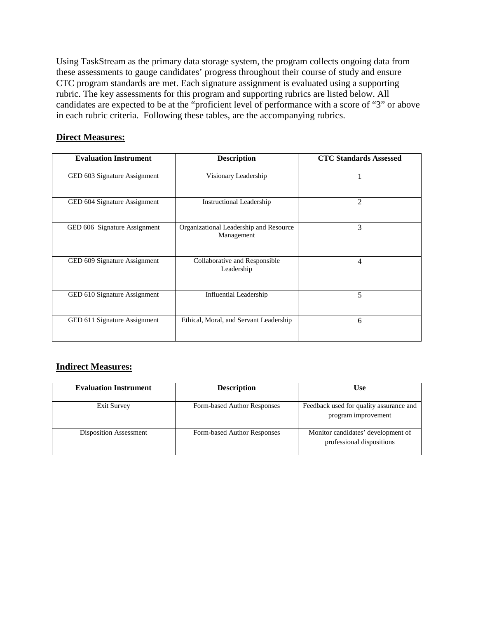Using TaskStream as the primary data storage system, the program collects ongoing data from these assessments to gauge candidates' progress throughout their course of study and ensure CTC program standards are met. Each signature assignment is evaluated using a supporting rubric. The key assessments for this program and supporting rubrics are listed below. All candidates are expected to be at the "proficient level of performance with a score of "3" or above in each rubric criteria. Following these tables, are the accompanying rubrics.

### **Direct Measures:**

| <b>Evaluation Instrument</b> | <b>Description</b>                                   | <b>CTC Standards Assessed</b> |
|------------------------------|------------------------------------------------------|-------------------------------|
| GED 603 Signature Assignment | Visionary Leadership                                 |                               |
| GED 604 Signature Assignment | <b>Instructional Leadership</b>                      | $\overline{2}$                |
| GED 606 Signature Assignment | Organizational Leadership and Resource<br>Management | 3                             |
| GED 609 Signature Assignment | Collaborative and Responsible<br>Leadership          | 4                             |
| GED 610 Signature Assignment | <b>Influential Leadership</b>                        | 5                             |
| GED 611 Signature Assignment | Ethical, Moral, and Servant Leadership               | 6                             |

## **Indirect Measures:**

| <b>Evaluation Instrument</b>  | <b>Description</b>          | <b>Use</b>                                                      |
|-------------------------------|-----------------------------|-----------------------------------------------------------------|
| Exit Survey                   | Form-based Author Responses | Feedback used for quality assurance and<br>program improvement  |
| <b>Disposition Assessment</b> | Form-based Author Responses | Monitor candidates' development of<br>professional dispositions |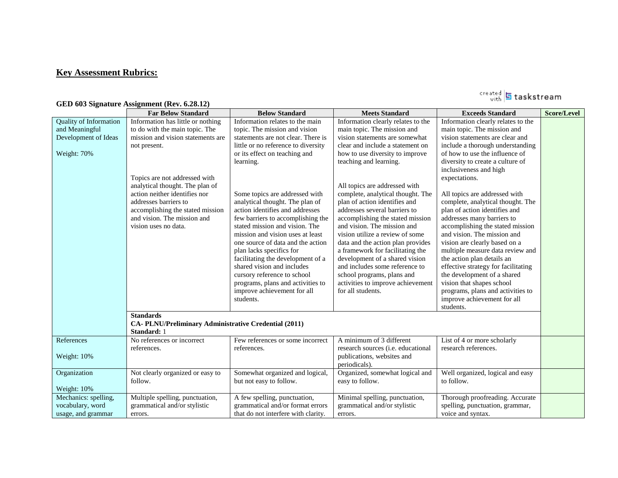## **Key Assessment Rubrics:**

|                                                                                        | <b>Far Below Standard</b>                                                                                                                                                                                                                                                                                                                         | <b>Below Standard</b>                                                                                                                                                                                                                                                                                                                                                                                                                                                                                                                                                                                                                                              | <b>Meets Standard</b>                                                                                                                                                                                                                                                                                                                                                                                                                                                                                                                                                                                                                                                                   | <b>Exceeds Standard</b>                                                                                                                                                                                                                                                                                                                                                                                                                                                                                                                                                                                                                                                                                                                                  | <b>Score/Level</b> |
|----------------------------------------------------------------------------------------|---------------------------------------------------------------------------------------------------------------------------------------------------------------------------------------------------------------------------------------------------------------------------------------------------------------------------------------------------|--------------------------------------------------------------------------------------------------------------------------------------------------------------------------------------------------------------------------------------------------------------------------------------------------------------------------------------------------------------------------------------------------------------------------------------------------------------------------------------------------------------------------------------------------------------------------------------------------------------------------------------------------------------------|-----------------------------------------------------------------------------------------------------------------------------------------------------------------------------------------------------------------------------------------------------------------------------------------------------------------------------------------------------------------------------------------------------------------------------------------------------------------------------------------------------------------------------------------------------------------------------------------------------------------------------------------------------------------------------------------|----------------------------------------------------------------------------------------------------------------------------------------------------------------------------------------------------------------------------------------------------------------------------------------------------------------------------------------------------------------------------------------------------------------------------------------------------------------------------------------------------------------------------------------------------------------------------------------------------------------------------------------------------------------------------------------------------------------------------------------------------------|--------------------|
| <b>Quality of Information</b><br>and Meaningful<br>Development of Ideas<br>Weight: 70% | Information has little or nothing<br>to do with the main topic. The<br>mission and vision statements are<br>not present.<br>Topics are not addressed with<br>analytical thought. The plan of<br>action neither identifies nor<br>addresses barriers to<br>accomplishing the stated mission<br>and vision. The mission and<br>vision uses no data. | Information relates to the main<br>topic. The mission and vision<br>statements are not clear. There is<br>little or no reference to diversity<br>or its effect on teaching and<br>learning.<br>Some topics are addressed with<br>analytical thought. The plan of<br>action identifies and addresses<br>few barriers to accomplishing the<br>stated mission and vision. The<br>mission and vision uses at least<br>one source of data and the action<br>plan lacks specifics for<br>facilitating the development of a<br>shared vision and includes<br>cursory reference to school<br>programs, plans and activities to<br>improve achievement for all<br>students. | Information clearly relates to the<br>main topic. The mission and<br>vision statements are somewhat<br>clear and include a statement on<br>how to use diversity to improve<br>teaching and learning.<br>All topics are addressed with<br>complete, analytical thought. The<br>plan of action identifies and<br>addresses several barriers to<br>accomplishing the stated mission<br>and vision. The mission and<br>vision utilize a review of some<br>data and the action plan provides<br>a framework for facilitating the<br>development of a shared vision<br>and includes some reference to<br>school programs, plans and<br>activities to improve achievement<br>for all students. | Information clearly relates to the<br>main topic. The mission and<br>vision statements are clear and<br>include a thorough understanding<br>of how to use the influence of<br>diversity to create a culture of<br>inclusiveness and high<br>expectations.<br>All topics are addressed with<br>complete, analytical thought. The<br>plan of action identifies and<br>addresses many barriers to<br>accomplishing the stated mission<br>and vision. The mission and<br>vision are clearly based on a<br>multiple measure data review and<br>the action plan details an<br>effective strategy for facilitating<br>the development of a shared<br>vision that shapes school<br>programs, plans and activities to<br>improve achievement for all<br>students. |                    |
|                                                                                        | <b>Standards</b><br>CA- PLNU/Preliminary Administrative Credential (2011)<br>Standard: 1                                                                                                                                                                                                                                                          |                                                                                                                                                                                                                                                                                                                                                                                                                                                                                                                                                                                                                                                                    |                                                                                                                                                                                                                                                                                                                                                                                                                                                                                                                                                                                                                                                                                         |                                                                                                                                                                                                                                                                                                                                                                                                                                                                                                                                                                                                                                                                                                                                                          |                    |
| References<br>Weight: 10%                                                              | No references or incorrect<br>references.                                                                                                                                                                                                                                                                                                         | Few references or some incorrect<br>references.                                                                                                                                                                                                                                                                                                                                                                                                                                                                                                                                                                                                                    | A minimum of 3 different<br>research sources ( <i>i.e.</i> educational<br>publications, websites and<br>periodicals).                                                                                                                                                                                                                                                                                                                                                                                                                                                                                                                                                                   | List of 4 or more scholarly<br>research references.                                                                                                                                                                                                                                                                                                                                                                                                                                                                                                                                                                                                                                                                                                      |                    |
| Organization<br>Weight: 10%                                                            | Not clearly organized or easy to<br>follow.                                                                                                                                                                                                                                                                                                       | Somewhat organized and logical,<br>but not easy to follow.                                                                                                                                                                                                                                                                                                                                                                                                                                                                                                                                                                                                         | Organized, somewhat logical and<br>easy to follow.                                                                                                                                                                                                                                                                                                                                                                                                                                                                                                                                                                                                                                      | Well organized, logical and easy<br>to follow.                                                                                                                                                                                                                                                                                                                                                                                                                                                                                                                                                                                                                                                                                                           |                    |
| Mechanics: spelling,<br>vocabulary, word<br>usage, and grammar                         | Multiple spelling, punctuation,<br>grammatical and/or stylistic<br>errors.                                                                                                                                                                                                                                                                        | A few spelling, punctuation,<br>grammatical and/or format errors<br>that do not interfere with clarity.                                                                                                                                                                                                                                                                                                                                                                                                                                                                                                                                                            | Minimal spelling, punctuation,<br>grammatical and/or stylistic<br>errors.                                                                                                                                                                                                                                                                                                                                                                                                                                                                                                                                                                                                               | Thorough proofreading. Accurate<br>spelling, punctuation, grammar,<br>voice and syntax.                                                                                                                                                                                                                                                                                                                                                                                                                                                                                                                                                                                                                                                                  |                    |

#### **GED 603 Signature Assignment (Rev. 6.28.12)**

created **5** taskstream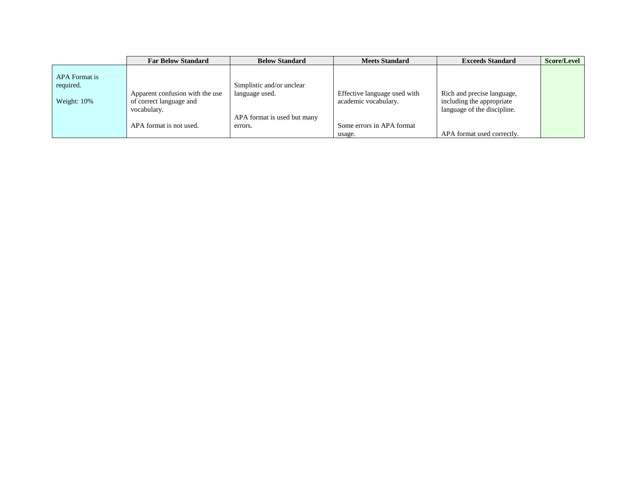|                                           | <b>Far Below Standard</b>                                                 | <b>Below Standard</b>                       | <b>Meets Standard</b>                                | <b>Exceeds Standard</b>                                                                | Score/Level |
|-------------------------------------------|---------------------------------------------------------------------------|---------------------------------------------|------------------------------------------------------|----------------------------------------------------------------------------------------|-------------|
| APA Format is<br>required.<br>Weight: 10% | Apparent confusion with the use<br>of correct language and<br>vocabulary. | Simplistic and/or unclear<br>language used. | Effective language used with<br>academic vocabulary. | Rich and precise language,<br>including the appropriate<br>language of the discipline. |             |
|                                           | APA format is not used.                                                   | APA format is used but many<br>errors.      | Some errors in APA format                            |                                                                                        |             |
|                                           |                                                                           |                                             | usage.                                               | APA format used correctly.                                                             |             |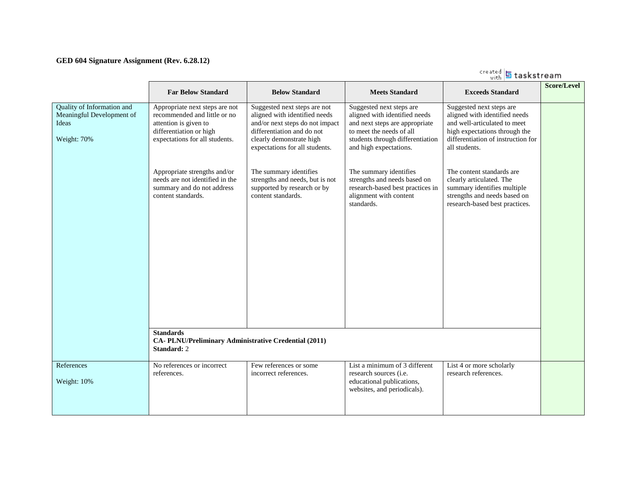#### **GED 604 Signature Assignment (Rev. 6.28.12)**

|                                                                                 | <b>Far Below Standard</b>                                                                                                                                                            | <b>Below Standard</b>                                                                                                                                                                                                  | <b>Meets Standard</b>                                                                                                                                                                                           | <b>Exceeds Standard</b>                                                                                                                                                                                        | <b>Score/Level</b> |
|---------------------------------------------------------------------------------|--------------------------------------------------------------------------------------------------------------------------------------------------------------------------------------|------------------------------------------------------------------------------------------------------------------------------------------------------------------------------------------------------------------------|-----------------------------------------------------------------------------------------------------------------------------------------------------------------------------------------------------------------|----------------------------------------------------------------------------------------------------------------------------------------------------------------------------------------------------------------|--------------------|
| Quality of Information and<br>Meaningful Development of<br>Ideas<br>Weight: 70% | Appropriate next steps are not<br>recommended and little or no<br>attention is given to<br>differentiation or high<br>expectations for all students.<br>Appropriate strengths and/or | Suggested next steps are not<br>aligned with identified needs<br>and/or next steps do not impact<br>differentiation and do not<br>clearly demonstrate high<br>expectations for all students.<br>The summary identifies | Suggested next steps are<br>aligned with identified needs<br>and next steps are appropriate<br>to meet the needs of all<br>students through differentiation<br>and high expectations.<br>The summary identifies | Suggested next steps are<br>aligned with identified needs<br>and well-articulated to meet<br>high expectations through the<br>differentiation of instruction for<br>all students.<br>The content standards are |                    |
|                                                                                 | needs are not identified in the<br>summary and do not address<br>content standards.                                                                                                  | strengths and needs, but is not<br>supported by research or by<br>content standards.                                                                                                                                   | strengths and needs based on<br>research-based best practices in<br>alignment with content<br>standards.                                                                                                        | clearly articulated. The<br>summary identifies multiple<br>strengths and needs based on<br>research-based best practices.                                                                                      |                    |
|                                                                                 | <b>Standards</b><br>CA-PLNU/Preliminary Administrative Credential (2011)<br><b>Standard: 2</b>                                                                                       |                                                                                                                                                                                                                        |                                                                                                                                                                                                                 |                                                                                                                                                                                                                |                    |
| References<br>Weight: 10%                                                       | No references or incorrect<br>references.                                                                                                                                            | Few references or some<br>incorrect references.                                                                                                                                                                        | List a minimum of 3 different<br>research sources (i.e.<br>educational publications,<br>websites, and periodicals).                                                                                             | List 4 or more scholarly<br>research references.                                                                                                                                                               |                    |

created **5** taskstream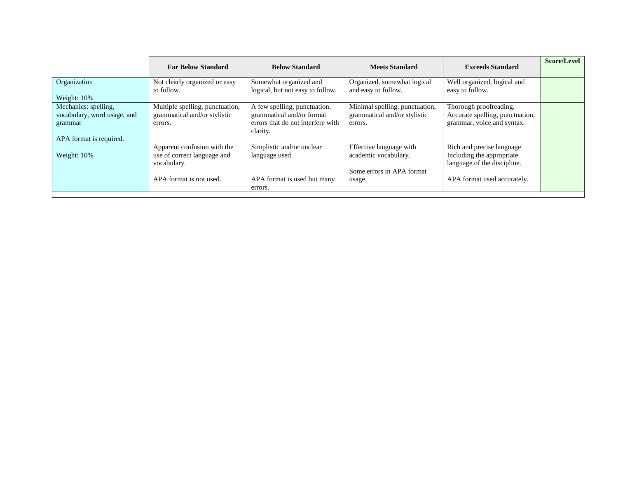|                             | <b>Far Below Standard</b>       | <b>Below Standard</b>             | <b>Meets Standard</b>          | <b>Exceeds Standard</b>         | Score/Level |
|-----------------------------|---------------------------------|-----------------------------------|--------------------------------|---------------------------------|-------------|
| Organization                | Not clearly organized or easy   | Somewhat organized and            | Organized, somewhat logical    | Well organized, logical and     |             |
|                             | to follow.                      | logical, but not easy to follow.  | and easy to follow.            | easy to follow.                 |             |
| Weight: 10%                 |                                 |                                   |                                |                                 |             |
| Mechanics: spelling,        | Multiple spelling, punctuation, | A few spelling, punctuation,      | Minimal spelling, punctuation, | Thorough proofreading.          |             |
| vocabulary, word usage, and | grammatical and/or stylistic    | grammatical and/or format         | grammatical and/or stylistic   | Accurate spelling, punctuation, |             |
| grammar                     | errors.                         | errors that do not interfere with | errors.                        | grammar, voice and syntax.      |             |
|                             |                                 | clarity.                          |                                |                                 |             |
| APA format is required.     |                                 |                                   |                                |                                 |             |
|                             | Apparent confusion with the     | Simplistic and/or unclear         | Effective language with        | Rich and precise language       |             |
| Weight: 10%                 | use of correct language and     | language used.                    | academic vocabulary.           | Including the appropriate       |             |
|                             | vocabulary.                     |                                   |                                | language of the discipline.     |             |
|                             |                                 |                                   | Some errors in APA format      |                                 |             |
|                             | APA format is not used.         | APA format is used but many       | usage.                         | APA format used accurately.     |             |
|                             |                                 | errors.                           |                                |                                 |             |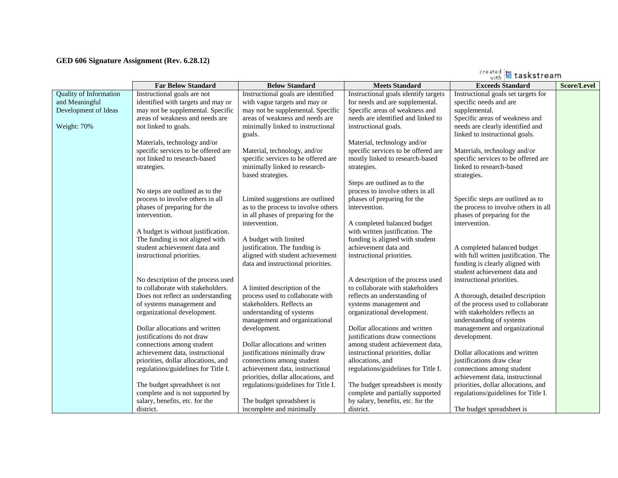#### **GED 606 Signature Assignment (Rev. 6.28.12)**

|                               |                                     |                                                                   |                                      | taskstream                                                              |                    |
|-------------------------------|-------------------------------------|-------------------------------------------------------------------|--------------------------------------|-------------------------------------------------------------------------|--------------------|
|                               | <b>Far Below Standard</b>           | <b>Below Standard</b>                                             | <b>Meets Standard</b>                | <b>Exceeds Standard</b>                                                 | <b>Score/Level</b> |
| <b>Quality of Information</b> | Instructional goals are not         | Instructional goals are identified                                | Instructional goals identify targets | Instructional goals set targets for                                     |                    |
| and Meaningful                | identified with targets and may or  | with vague targets and may or                                     | for needs and are supplemental.      | specific needs and are                                                  |                    |
| Development of Ideas          | may not be supplemental. Specific   | may not be supplemental. Specific                                 | Specific areas of weakness and       | supplemental.                                                           |                    |
|                               | areas of weakness and needs are     | areas of weakness and needs are                                   | needs are identified and linked to   | Specific areas of weakness and                                          |                    |
| Weight: 70%                   | not linked to goals.                | minimally linked to instructional<br>goals.                       | instructional goals.                 | needs are clearly identified and<br>linked to instructional goals.      |                    |
|                               | Materials, technology and/or        |                                                                   | Material, technology and/or          |                                                                         |                    |
|                               | specific services to be offered are | Material, technology, and/or                                      | specific services to be offered are  | Materials, technology and/or                                            |                    |
|                               | not linked to research-based        | specific services to be offered are                               | mostly linked to research-based      | specific services to be offered are                                     |                    |
|                               | strategies.                         | minimally linked to research-<br>based strategies.                | strategies.                          | linked to research-based<br>strategies.                                 |                    |
|                               |                                     |                                                                   | Steps are outlined as to the         |                                                                         |                    |
|                               | No steps are outlined as to the     |                                                                   | process to involve others in all     |                                                                         |                    |
|                               | process to involve others in all    | Limited suggestions are outlined                                  | phases of preparing for the          | Specific steps are outlined as to                                       |                    |
|                               | phases of preparing for the         | as to the process to involve others                               | intervention.                        | the process to involve others in all                                    |                    |
|                               | intervention.                       | in all phases of preparing for the                                |                                      | phases of preparing for the                                             |                    |
|                               |                                     | intervention.                                                     | A completed balanced budget          | intervention.                                                           |                    |
|                               | A budget is without justification.  |                                                                   | with written justification. The      |                                                                         |                    |
|                               | The funding is not aligned with     | A budget with limited                                             | funding is aligned with student      |                                                                         |                    |
|                               | student achievement data and        | justification. The funding is<br>aligned with student achievement | achievement data and                 | A completed balanced budget                                             |                    |
|                               | instructional priorities.           | data and instructional priorities.                                | instructional priorities.            | with full written justification. The<br>funding is clearly aligned with |                    |
|                               |                                     |                                                                   |                                      | student achievement data and                                            |                    |
|                               | No description of the process used  |                                                                   | A description of the process used    | instructional priorities.                                               |                    |
|                               | to collaborate with stakeholders.   | A limited description of the                                      | to collaborate with stakeholders     |                                                                         |                    |
|                               | Does not reflect an understanding   | process used to collaborate with                                  | reflects an understanding of         | A thorough, detailed description                                        |                    |
|                               | of systems management and           | stakeholders. Reflects an                                         | systems management and               | of the process used to collaborate                                      |                    |
|                               | organizational development.         | understanding of systems                                          | organizational development.          | with stakeholders reflects an                                           |                    |
|                               |                                     | management and organizational                                     |                                      | understanding of systems                                                |                    |
|                               | Dollar allocations and written      | development.                                                      | Dollar allocations and written       | management and organizational                                           |                    |
|                               | justifications do not draw          |                                                                   | justifications draw connections      | development.                                                            |                    |
|                               | connections among student           | Dollar allocations and written                                    | among student achievement data,      |                                                                         |                    |
|                               | achievement data, instructional     | justifications minimally draw                                     | instructional priorities, dollar     | Dollar allocations and written                                          |                    |
|                               | priorities, dollar allocations, and | connections among student                                         | allocations, and                     | justifications draw clear                                               |                    |
|                               | regulations/guidelines for Title I. | achievement data, instructional                                   | regulations/guidelines for Title I.  | connections among student                                               |                    |
|                               |                                     | priorities, dollar allocations, and                               |                                      | achievement data, instructional                                         |                    |
|                               | The budget spreadsheet is not       | regulations/guidelines for Title I.                               | The budget spreadsheet is mostly     | priorities, dollar allocations, and                                     |                    |
|                               | complete and is not supported by    |                                                                   | complete and partially supported     | regulations/guidelines for Title I.                                     |                    |
|                               | salary, benefits, etc. for the      | The budget spreadsheet is                                         | by salary, benefits, etc. for the    |                                                                         |                    |
|                               | district.                           | incomplete and minimally                                          | district.                            | The budget spreadsheet is                                               |                    |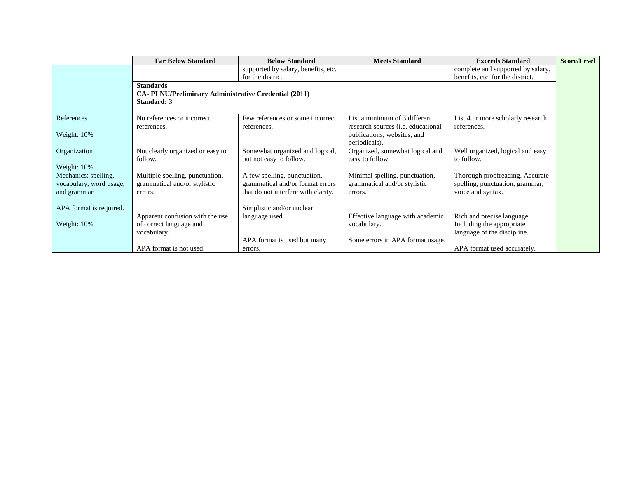|                                                                | <b>Far Below Standard</b>                                                                       | <b>Below Standard</b>                                                                                   | <b>Meets Standard</b>                                                                      | <b>Exceeds Standard</b>                                                                 | <b>Score/Level</b> |
|----------------------------------------------------------------|-------------------------------------------------------------------------------------------------|---------------------------------------------------------------------------------------------------------|--------------------------------------------------------------------------------------------|-----------------------------------------------------------------------------------------|--------------------|
|                                                                |                                                                                                 | supported by salary, benefits, etc.<br>for the district.                                                |                                                                                            | complete and supported by salary,<br>benefits, etc. for the district.                   |                    |
|                                                                | <b>Standards</b><br><b>CA- PLNU/Preliminary Administrative Credential (2011)</b><br>Standard: 3 |                                                                                                         |                                                                                            |                                                                                         |                    |
| References                                                     | No references or incorrect                                                                      | Few references or some incorrect                                                                        | List a minimum of 3 different                                                              | List 4 or more scholarly research                                                       |                    |
| Weight: 10%                                                    | references.                                                                                     | references.                                                                                             | research sources ( <i>i.e.</i> educational<br>publications, websites, and<br>periodicals). | references.                                                                             |                    |
| Organization<br>Weight: 10%                                    | Not clearly organized or easy to<br>follow.                                                     | Somewhat organized and logical,<br>but not easy to follow.                                              | Organized, somewhat logical and<br>easy to follow.                                         | Well organized, logical and easy<br>to follow.                                          |                    |
| Mechanics: spelling,<br>vocabulary, word usage,<br>and grammar | Multiple spelling, punctuation,<br>grammatical and/or stylistic<br>errors.                      | A few spelling, punctuation,<br>grammatical and/or format errors<br>that do not interfere with clarity. | Minimal spelling, punctuation,<br>grammatical and/or stylistic<br>errors.                  | Thorough proofreading. Accurate<br>spelling, punctuation, grammar,<br>voice and syntax. |                    |
| APA format is required.<br>Weight: 10%                         | Apparent confusion with the use<br>of correct language and<br>vocabulary.                       | Simplistic and/or unclear<br>language used.<br>APA format is used but many                              | Effective language with academic<br>vocabulary.<br>Some errors in APA format usage.        | Rich and precise language<br>Including the appropriate.<br>language of the discipline.  |                    |
|                                                                | APA format is not used.                                                                         | errors.                                                                                                 |                                                                                            | APA format used accurately.                                                             |                    |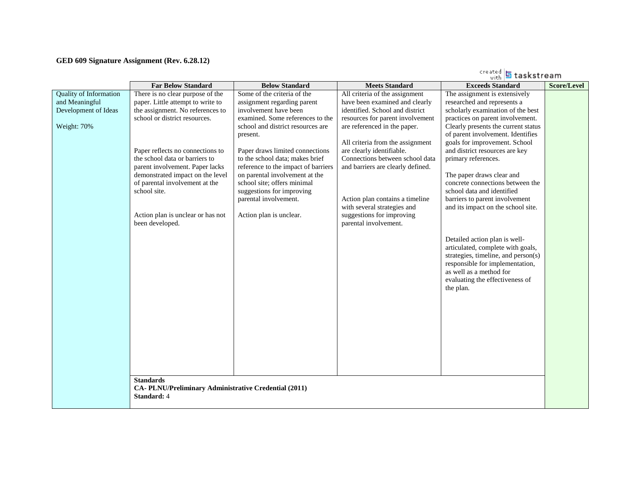#### **GED 609 Signature Assignment (Rev. 6.28.12)**

|                                                                                        |                                                                                                                                                                                                                                                                                                                                                                                                                                                                                                     |                                                                                                                                                                                                                                                                                                                                                                                                                                         |                                                                                                                                                                                                                                                                                                                                                                                                                                          | created 5 taskstream                                                                                                                                                                                                                                                                                                                                                                                                                                                                                                                                                                                                                                                                                          |                    |
|----------------------------------------------------------------------------------------|-----------------------------------------------------------------------------------------------------------------------------------------------------------------------------------------------------------------------------------------------------------------------------------------------------------------------------------------------------------------------------------------------------------------------------------------------------------------------------------------------------|-----------------------------------------------------------------------------------------------------------------------------------------------------------------------------------------------------------------------------------------------------------------------------------------------------------------------------------------------------------------------------------------------------------------------------------------|------------------------------------------------------------------------------------------------------------------------------------------------------------------------------------------------------------------------------------------------------------------------------------------------------------------------------------------------------------------------------------------------------------------------------------------|---------------------------------------------------------------------------------------------------------------------------------------------------------------------------------------------------------------------------------------------------------------------------------------------------------------------------------------------------------------------------------------------------------------------------------------------------------------------------------------------------------------------------------------------------------------------------------------------------------------------------------------------------------------------------------------------------------------|--------------------|
|                                                                                        | <b>Far Below Standard</b>                                                                                                                                                                                                                                                                                                                                                                                                                                                                           | <b>Below Standard</b>                                                                                                                                                                                                                                                                                                                                                                                                                   | <b>Meets Standard</b>                                                                                                                                                                                                                                                                                                                                                                                                                    | <b>Exceeds Standard</b>                                                                                                                                                                                                                                                                                                                                                                                                                                                                                                                                                                                                                                                                                       | <b>Score/Level</b> |
| <b>Quality of Information</b><br>and Meaningful<br>Development of Ideas<br>Weight: 70% | There is no clear purpose of the<br>paper. Little attempt to write to<br>the assignment. No references to<br>school or district resources.<br>Paper reflects no connections to<br>the school data or barriers to<br>parent involvement. Paper lacks<br>demonstrated impact on the level<br>of parental involvement at the<br>school site.<br>Action plan is unclear or has not<br>been developed.<br><b>Standards</b><br>CA-PLNU/Preliminary Administrative Credential (2011)<br><b>Standard: 4</b> | Some of the criteria of the<br>assignment regarding parent<br>involvement have been<br>examined. Some references to the<br>school and district resources are<br>present.<br>Paper draws limited connections<br>to the school data; makes brief<br>reference to the impact of barriers<br>on parental involvement at the<br>school site; offers minimal<br>suggestions for improving<br>parental involvement.<br>Action plan is unclear. | All criteria of the assignment<br>have been examined and clearly<br>identified. School and district<br>resources for parent involvement<br>are referenced in the paper.<br>All criteria from the assignment<br>are clearly identifiable.<br>Connections between school data<br>and barriers are clearly defined.<br>Action plan contains a timeline<br>with several strategies and<br>suggestions for improving<br>parental involvement. | The assignment is extensively<br>researched and represents a<br>scholarly examination of the best<br>practices on parent involvement.<br>Clearly presents the current status<br>of parent involvement. Identifies<br>goals for improvement. School<br>and district resources are key<br>primary references.<br>The paper draws clear and<br>concrete connections between the<br>school data and identified<br>barriers to parent involvement<br>and its impact on the school site.<br>Detailed action plan is well-<br>articulated, complete with goals,<br>strategies, timeline, and person(s)<br>responsible for implementation,<br>as well as a method for<br>evaluating the effectiveness of<br>the plan. |                    |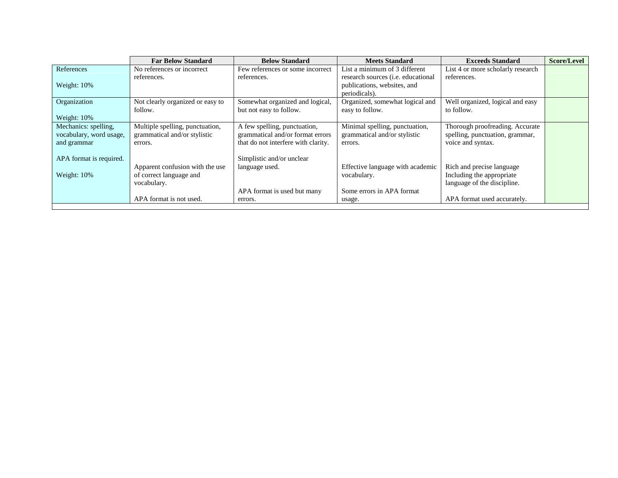|                                                                | <b>Far Below Standard</b>                                                  | <b>Below Standard</b>                                                                                   | <b>Meets Standard</b>                                                                      | <b>Exceeds Standard</b>                                                                 | Score/Level |
|----------------------------------------------------------------|----------------------------------------------------------------------------|---------------------------------------------------------------------------------------------------------|--------------------------------------------------------------------------------------------|-----------------------------------------------------------------------------------------|-------------|
| References                                                     | No references or incorrect                                                 | Few references or some incorrect                                                                        | List a minimum of 3 different                                                              | List 4 or more scholarly research                                                       |             |
| Weight: 10%                                                    | references.                                                                | references.                                                                                             | research sources ( <i>i.e.</i> educational<br>publications, websites, and<br>periodicals). | references.                                                                             |             |
| Organization<br>Weight: 10%                                    | Not clearly organized or easy to<br>follow.                                | Somewhat organized and logical,<br>but not easy to follow.                                              | Organized, somewhat logical and<br>easy to follow.                                         | Well organized, logical and easy<br>to follow.                                          |             |
| Mechanics: spelling,<br>vocabulary, word usage,<br>and grammar | Multiple spelling, punctuation,<br>grammatical and/or stylistic<br>errors. | A few spelling, punctuation,<br>grammatical and/or format errors<br>that do not interfere with clarity. | Minimal spelling, punctuation,<br>grammatical and/or stylistic<br>errors.                  | Thorough proofreading. Accurate<br>spelling, punctuation, grammar,<br>voice and syntax. |             |
| APA format is required.<br>Weight: 10%                         | Apparent confusion with the use<br>of correct language and<br>vocabulary.  | Simplistic and/or unclear<br>language used.                                                             | Effective language with academic<br>vocabulary.                                            | Rich and precise language<br>Including the appropriate<br>language of the discipline.   |             |
|                                                                | APA format is not used.                                                    | APA format is used but many<br>errors.                                                                  | Some errors in APA format<br>usage.                                                        | APA format used accurately.                                                             |             |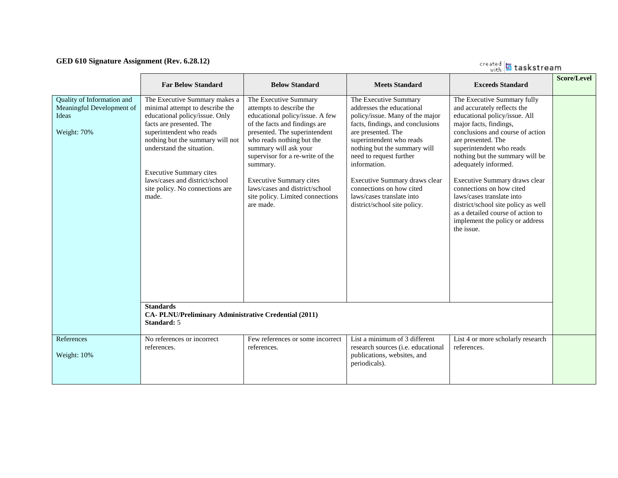#### **GED 610 Signature Assignment (Rev. 6.28.12)**

created **5** taskstream

|                                                                                 | <b>Far Below Standard</b>                                                                                                                                                                                                                                                                                                                   | <b>Below Standard</b>                                                                                                                                                                                                                                                                                                                                                             | <b>Meets Standard</b>                                                                                                                                                                                                                                                                                                                                                            | <b>Exceeds Standard</b>                                                                                                                                                                                                                                                                                                                                                                                                                                                                       | <b>Score/Level</b> |
|---------------------------------------------------------------------------------|---------------------------------------------------------------------------------------------------------------------------------------------------------------------------------------------------------------------------------------------------------------------------------------------------------------------------------------------|-----------------------------------------------------------------------------------------------------------------------------------------------------------------------------------------------------------------------------------------------------------------------------------------------------------------------------------------------------------------------------------|----------------------------------------------------------------------------------------------------------------------------------------------------------------------------------------------------------------------------------------------------------------------------------------------------------------------------------------------------------------------------------|-----------------------------------------------------------------------------------------------------------------------------------------------------------------------------------------------------------------------------------------------------------------------------------------------------------------------------------------------------------------------------------------------------------------------------------------------------------------------------------------------|--------------------|
| Quality of Information and<br>Meaningful Development of<br>Ideas<br>Weight: 70% | The Executive Summary makes a<br>minimal attempt to describe the<br>educational policy/issue. Only<br>facts are presented. The<br>superintendent who reads<br>nothing but the summary will not<br>understand the situation.<br><b>Executive Summary cites</b><br>laws/cases and district/school<br>site policy. No connections are<br>made. | The Executive Summary<br>attempts to describe the<br>educational policy/issue. A few<br>of the facts and findings are<br>presented. The superintendent<br>who reads nothing but the<br>summary will ask your<br>supervisor for a re-write of the<br>summary.<br><b>Executive Summary cites</b><br>laws/cases and district/school<br>site policy. Limited connections<br>are made. | The Executive Summary<br>addresses the educational<br>policy/issue. Many of the major<br>facts, findings, and conclusions<br>are presented. The<br>superintendent who reads<br>nothing but the summary will<br>need to request further<br>information.<br>Executive Summary draws clear<br>connections on how cited<br>laws/cases translate into<br>district/school site policy. | The Executive Summary fully<br>and accurately reflects the<br>educational policy/issue. All<br>major facts, findings,<br>conclusions and course of action<br>are presented. The<br>superintendent who reads<br>nothing but the summary will be<br>adequately informed.<br>Executive Summary draws clear<br>connections on how cited<br>laws/cases translate into<br>district/school site policy as well<br>as a detailed course of action to<br>implement the policy or address<br>the issue. |                    |
|                                                                                 | <b>Standards</b><br>CA-PLNU/Preliminary Administrative Credential (2011)<br>Standard: 5                                                                                                                                                                                                                                                     |                                                                                                                                                                                                                                                                                                                                                                                   |                                                                                                                                                                                                                                                                                                                                                                                  |                                                                                                                                                                                                                                                                                                                                                                                                                                                                                               |                    |
| References<br>Weight: 10%                                                       | No references or incorrect<br>references.                                                                                                                                                                                                                                                                                                   | Few references or some incorrect<br>references.                                                                                                                                                                                                                                                                                                                                   | List a minimum of 3 different<br>research sources (i.e. educational<br>publications, websites, and<br>periodicals).                                                                                                                                                                                                                                                              | List 4 or more scholarly research<br>references.                                                                                                                                                                                                                                                                                                                                                                                                                                              |                    |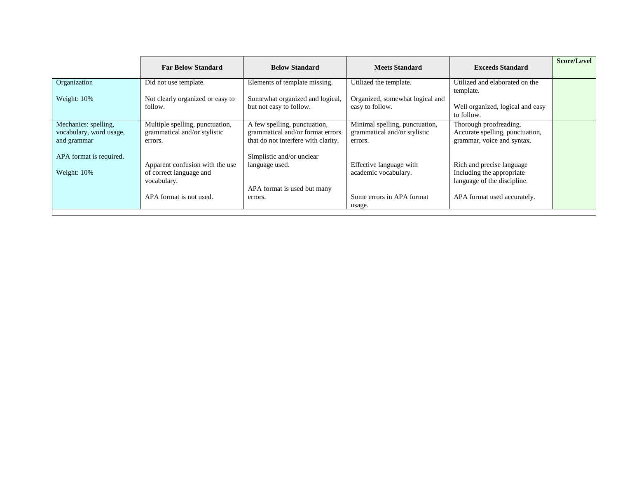|                                                                | <b>Far Below Standard</b>                                                  | <b>Below Standard</b>                                                                                   | <b>Meets Standard</b>                                                     | <b>Exceeds Standard</b>                                                                 | Score/Level |
|----------------------------------------------------------------|----------------------------------------------------------------------------|---------------------------------------------------------------------------------------------------------|---------------------------------------------------------------------------|-----------------------------------------------------------------------------------------|-------------|
| Organization                                                   | Did not use template.                                                      | Elements of template missing.                                                                           | Utilized the template.                                                    | Utilized and elaborated on the                                                          |             |
| Weight: 10%                                                    | Not clearly organized or easy to<br>follow.                                | Somewhat organized and logical,<br>but not easy to follow.                                              | Organized, somewhat logical and<br>easy to follow.                        | template.<br>Well organized, logical and easy<br>to follow.                             |             |
| Mechanics: spelling,<br>vocabulary, word usage,<br>and grammar | Multiple spelling, punctuation,<br>grammatical and/or stylistic<br>errors. | A few spelling, punctuation,<br>grammatical and/or format errors<br>that do not interfere with clarity. | Minimal spelling, punctuation,<br>grammatical and/or stylistic<br>errors. | Thorough proofreading.<br>Accurate spelling, punctuation,<br>grammar, voice and syntax. |             |
| APA format is required.<br>Weight: 10%                         | Apparent confusion with the use<br>of correct language and<br>vocabulary.  | Simplistic and/or unclear<br>language used.<br>APA format is used but many                              | Effective language with<br>academic vocabulary.                           | Rich and precise language<br>Including the appropriate<br>language of the discipline.   |             |
|                                                                | APA format is not used.                                                    | errors.                                                                                                 | Some errors in APA format<br>usage.                                       | APA format used accurately.                                                             |             |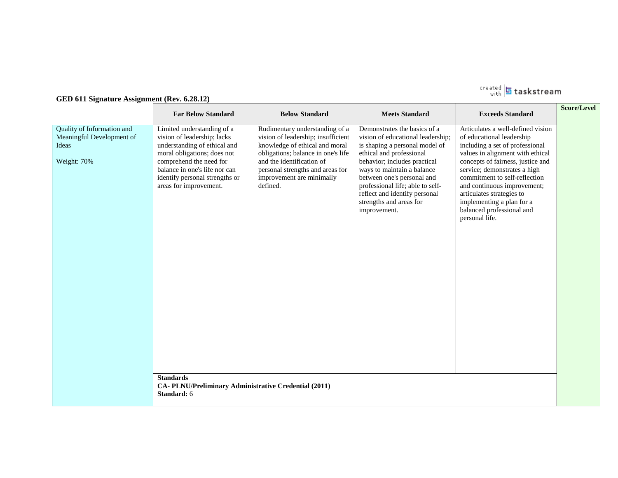

# **GED 611 Signature Assignment (Rev. 6.28.12)**

| Quality of Information and<br>Articulates a well-defined vision<br>Rudimentary understanding of a<br>Demonstrates the basics of a<br>Limited understanding of a<br>Meaningful Development of<br>vision of leadership; insufficient<br>of educational leadership<br>vision of leadership; lacks<br>vision of educational leadership;<br>knowledge of ethical and moral<br>understanding of ethical and<br>is shaping a personal model of<br>including a set of professional<br>Ideas<br>obligations; balance in one's life<br>moral obligations; does not<br>ethical and professional<br>values in alignment with ethical<br>Weight: 70%<br>comprehend the need for<br>and the identification of<br>behavior; includes practical<br>concepts of fairness, justice and<br>balance in one's life nor can<br>personal strengths and areas for<br>ways to maintain a balance<br>service; demonstrates a high |  |
|---------------------------------------------------------------------------------------------------------------------------------------------------------------------------------------------------------------------------------------------------------------------------------------------------------------------------------------------------------------------------------------------------------------------------------------------------------------------------------------------------------------------------------------------------------------------------------------------------------------------------------------------------------------------------------------------------------------------------------------------------------------------------------------------------------------------------------------------------------------------------------------------------------|--|
| between one's personal and<br>commitment to self-reflection<br>identify personal strengths or<br>improvement are minimally<br>defined.<br>professional life; able to self-<br>and continuous improvement;<br>areas for improvement.<br>reflect and identify personal<br>articulates strategies to<br>strengths and areas for<br>implementing a plan for a<br>balanced professional and<br>improvement.<br>personal life.<br><b>Standards</b><br>CA-PLNU/Preliminary Administrative Credential (2011)<br><b>Standard: 6</b>                                                                                                                                                                                                                                                                                                                                                                              |  |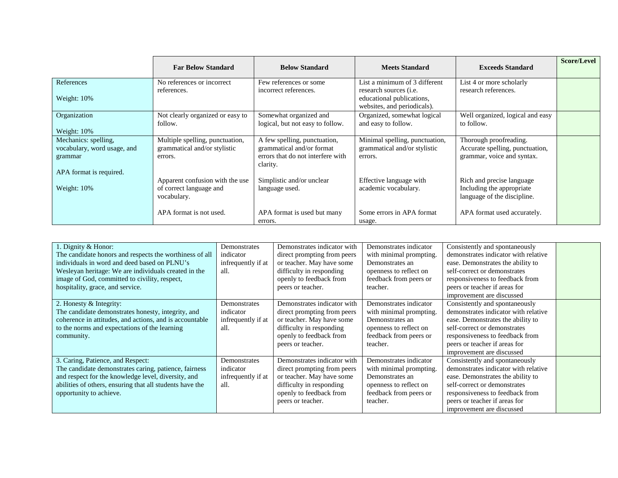|                                                                                           | <b>Far Below Standard</b>                                                  | <b>Below Standard</b>                                                                                      | <b>Meets Standard</b>                                                                                                       | <b>Exceeds Standard</b>                                                                 | Score/Level |
|-------------------------------------------------------------------------------------------|----------------------------------------------------------------------------|------------------------------------------------------------------------------------------------------------|-----------------------------------------------------------------------------------------------------------------------------|-----------------------------------------------------------------------------------------|-------------|
| References<br>Weight: 10%                                                                 | No references or incorrect<br>references.                                  | Few references or some<br>incorrect references.                                                            | List a minimum of 3 different<br>research sources ( <i>i.e.</i><br>educational publications,<br>websites, and periodicals). | List 4 or more scholarly<br>research references.                                        |             |
| Organization<br>Weight: 10%                                                               | Not clearly organized or easy to<br>follow.                                | Somewhat organized and<br>logical, but not easy to follow.                                                 | Organized, somewhat logical<br>and easy to follow.                                                                          | Well organized, logical and easy<br>to follow.                                          |             |
| Mechanics: spelling,<br>vocabulary, word usage, and<br>grammar<br>APA format is required. | Multiple spelling, punctuation,<br>grammatical and/or stylistic<br>errors. | A few spelling, punctuation,<br>grammatical and/or format<br>errors that do not interfere with<br>clarity. | Minimal spelling, punctuation,<br>grammatical and/or stylistic<br>errors.                                                   | Thorough proofreading.<br>Accurate spelling, punctuation,<br>grammar, voice and syntax. |             |
| Weight: 10%                                                                               | Apparent confusion with the use<br>of correct language and<br>vocabulary.  | Simplistic and/or unclear<br>language used.                                                                | Effective language with<br>academic vocabulary.                                                                             | Rich and precise language<br>Including the appropriate<br>language of the discipline.   |             |
|                                                                                           | APA format is not used.                                                    | APA format is used but many<br>errors.                                                                     | Some errors in APA format<br>usage.                                                                                         | APA format used accurately.                                                             |             |

| 1. Dignity & Honor:<br>The candidate honors and respects the worthiness of all<br>individuals in word and deed based on PLNU's<br>Wesleyan heritage: We are individuals created in the<br>image of God, committed to civility, respect,<br>hospitality, grace, and service. | Demonstrates<br>indicator<br>infrequently if at<br>all.  | Demonstrates indicator with<br>direct prompting from peers<br>or teacher. May have some<br>difficulty in responding<br>openly to feedback from<br>peers or teacher. | Demonstrates indicator<br>with minimal prompting.<br>Demonstrates an<br>openness to reflect on<br>feedback from peers or<br>teacher. | Consistently and spontaneously<br>demonstrates indicator with relative<br>ease. Demonstrates the ability to<br>self-correct or demonstrates<br>responsiveness to feedback from<br>peers or teacher if areas for<br>improvement are discussed |  |
|-----------------------------------------------------------------------------------------------------------------------------------------------------------------------------------------------------------------------------------------------------------------------------|----------------------------------------------------------|---------------------------------------------------------------------------------------------------------------------------------------------------------------------|--------------------------------------------------------------------------------------------------------------------------------------|----------------------------------------------------------------------------------------------------------------------------------------------------------------------------------------------------------------------------------------------|--|
| 2. Honesty & Integrity:<br>The candidate demonstrates honesty, integrity, and<br>coherence in attitudes, and actions, and is accountable<br>to the norms and expectations of the learning<br>community.                                                                     | Demonstrates<br>indicator<br>infrequently if at<br>-all. | Demonstrates indicator with<br>direct prompting from peers<br>or teacher. May have some<br>difficulty in responding<br>openly to feedback from<br>peers or teacher. | Demonstrates indicator<br>with minimal prompting.<br>Demonstrates an<br>openness to reflect on<br>feedback from peers or<br>teacher. | Consistently and spontaneously<br>demonstrates indicator with relative<br>ease. Demonstrates the ability to<br>self-correct or demonstrates<br>responsiveness to feedback from<br>peers or teacher if areas for<br>improvement are discussed |  |
| 3. Caring, Patience, and Respect:<br>The candidate demonstrates caring, patience, fairness<br>and respect for the knowledge level, diversity, and<br>abilities of others, ensuring that all students have the<br>opportunity to achieve.                                    | Demonstrates<br>indicator<br>infrequently if at<br>-all. | Demonstrates indicator with<br>direct prompting from peers<br>or teacher. May have some<br>difficulty in responding<br>openly to feedback from<br>peers or teacher. | Demonstrates indicator<br>with minimal prompting.<br>Demonstrates an<br>openness to reflect on<br>feedback from peers or<br>teacher. | Consistently and spontaneously<br>demonstrates indicator with relative<br>ease. Demonstrates the ability to<br>self-correct or demonstrates<br>responsiveness to feedback from<br>peers or teacher if areas for<br>improvement are discussed |  |